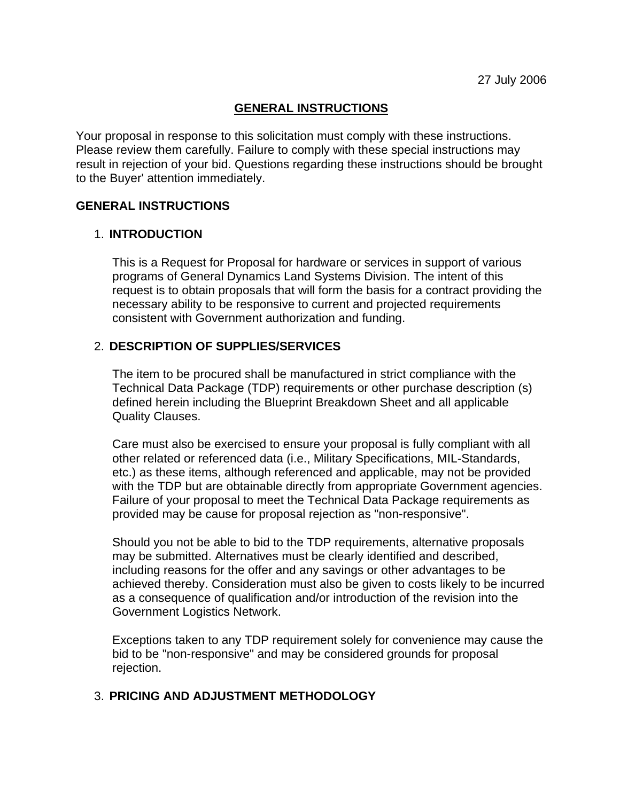# **GENERAL INSTRUCTIONS**

Your proposal in response to this solicitation must comply with these instructions. Please review them carefully. Failure to comply with these special instructions may result in rejection of your bid. Questions regarding these instructions should be brought to the Buyer' attention immediately.

### **GENERAL INSTRUCTIONS**

# 1. **INTRODUCTION**

This is a Request for Proposal for hardware or services in support of various programs of General Dynamics Land Systems Division. The intent of this request is to obtain proposals that will form the basis for a contract providing the necessary ability to be responsive to current and projected requirements consistent with Government authorization and funding.

# 2. **DESCRIPTION OF SUPPLIES/SERVICES**

The item to be procured shall be manufactured in strict compliance with the Technical Data Package (TDP) requirements or other purchase description (s) defined herein including the Blueprint Breakdown Sheet and all applicable Quality Clauses.

Care must also be exercised to ensure your proposal is fully compliant with all other related or referenced data (i.e., Military Specifications, MIL-Standards, etc.) as these items, although referenced and applicable, may not be provided with the TDP but are obtainable directly from appropriate Government agencies. Failure of your proposal to meet the Technical Data Package requirements as provided may be cause for proposal rejection as "non-responsive".

Should you not be able to bid to the TDP requirements, alternative proposals may be submitted. Alternatives must be clearly identified and described, including reasons for the offer and any savings or other advantages to be achieved thereby. Consideration must also be given to costs likely to be incurred as a consequence of qualification and/or introduction of the revision into the Government Logistics Network.

Exceptions taken to any TDP requirement solely for convenience may cause the bid to be "non-responsive" and may be considered grounds for proposal rejection.

# 3. **PRICING AND ADJUSTMENT METHODOLOGY**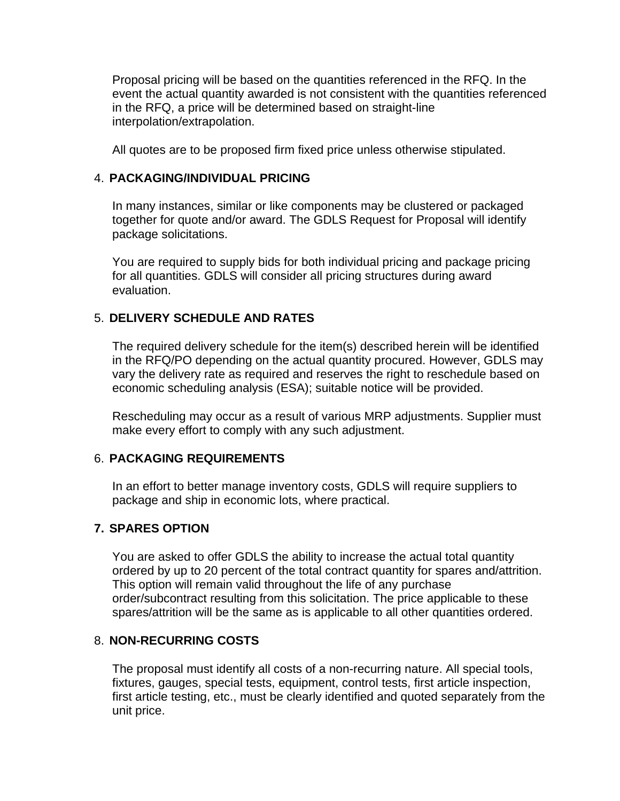Proposal pricing will be based on the quantities referenced in the RFQ. In the event the actual quantity awarded is not consistent with the quantities referenced in the RFQ, a price will be determined based on straight-line interpolation/extrapolation.

All quotes are to be proposed firm fixed price unless otherwise stipulated.

# 4. **PACKAGING/INDIVIDUAL PRICING**

In many instances, similar or like components may be clustered or packaged together for quote and/or award. The GDLS Request for Proposal will identify package solicitations.

You are required to supply bids for both individual pricing and package pricing for all quantities. GDLS will consider all pricing structures during award evaluation.

# 5. **DELIVERY SCHEDULE AND RATES**

The required delivery schedule for the item(s) described herein will be identified in the RFQ/PO depending on the actual quantity procured. However, GDLS may vary the delivery rate as required and reserves the right to reschedule based on economic scheduling analysis (ESA); suitable notice will be provided.

Rescheduling may occur as a result of various MRP adjustments. Supplier must make every effort to comply with any such adjustment.

# 6. **PACKAGING REQUIREMENTS**

In an effort to better manage inventory costs, GDLS will require suppliers to package and ship in economic lots, where practical.

# **7. SPARES OPTION**

You are asked to offer GDLS the ability to increase the actual total quantity ordered by up to 20 percent of the total contract quantity for spares and/attrition. This option will remain valid throughout the life of any purchase order/subcontract resulting from this solicitation. The price applicable to these spares/attrition will be the same as is applicable to all other quantities ordered.

# 8. **NON-RECURRING COSTS**

The proposal must identify all costs of a non-recurring nature. All special tools, fixtures, gauges, special tests, equipment, control tests, first article inspection, first article testing, etc., must be clearly identified and quoted separately from the unit price.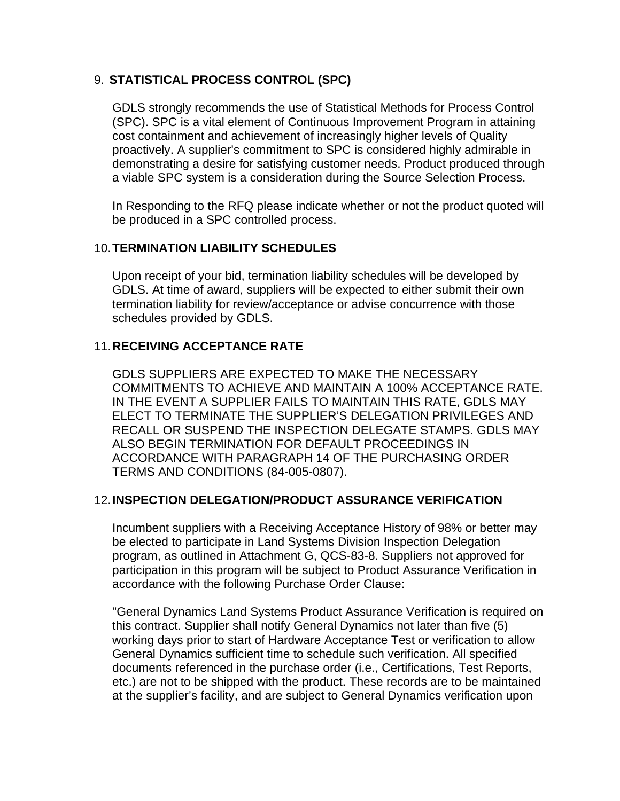# 9. **STATISTICAL PROCESS CONTROL (SPC)**

GDLS strongly recommends the use of Statistical Methods for Process Control (SPC). SPC is a vital element of Continuous Improvement Program in attaining cost containment and achievement of increasingly higher levels of Quality proactively. A supplier's commitment to SPC is considered highly admirable in demonstrating a desire for satisfying customer needs. Product produced through a viable SPC system is a consideration during the Source Selection Process.

In Responding to the RFQ please indicate whether or not the product quoted will be produced in a SPC controlled process.

# 10. **TERMINATION LIABILITY SCHEDULES**

Upon receipt of your bid, termination liability schedules will be developed by GDLS. At time of award, suppliers will be expected to either submit their own termination liability for review/acceptance or advise concurrence with those schedules provided by GDLS.

# 11. **RECEIVING ACCEPTANCE RATE**

GDLS SUPPLIERS ARE EXPECTED TO MAKE THE NECESSARY COMMITMENTS TO ACHIEVE AND MAINTAIN A 100% ACCEPTANCE RATE. IN THE EVENT A SUPPLIER FAILS TO MAINTAIN THIS RATE, GDLS MAY ELECT TO TERMINATE THE SUPPLIER'S DELEGATION PRIVILEGES AND RECALL OR SUSPEND THE INSPECTION DELEGATE STAMPS. GDLS MAY ALSO BEGIN TERMINATION FOR DEFAULT PROCEEDINGS IN ACCORDANCE WITH PARAGRAPH 14 OF THE PURCHASING ORDER TERMS AND CONDITIONS (84-005-0807).

# 12. **INSPECTION DELEGATION/PRODUCT ASSURANCE VERIFICATION**

Incumbent suppliers with a Receiving Acceptance History of 98% or better may be elected to participate in Land Systems Division Inspection Delegation program, as outlined in Attachment G, QCS-83-8. Suppliers not approved for participation in this program will be subject to Product Assurance Verification in accordance with the following Purchase Order Clause:

"General Dynamics Land Systems Product Assurance Verification is required on this contract. Supplier shall notify General Dynamics not later than five (5) working days prior to start of Hardware Acceptance Test or verification to allow General Dynamics sufficient time to schedule such verification. All specified documents referenced in the purchase order (i.e., Certifications, Test Reports, etc.) are not to be shipped with the product. These records are to be maintained at the supplier's facility, and are subject to General Dynamics verification upon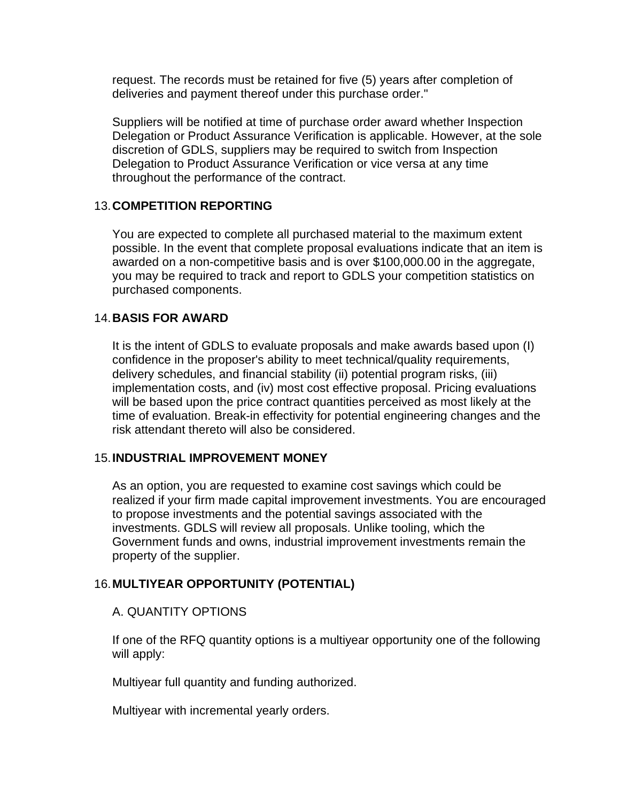request. The records must be retained for five (5) years after completion of deliveries and payment thereof under this purchase order."

Suppliers will be notified at time of purchase order award whether Inspection Delegation or Product Assurance Verification is applicable. However, at the sole discretion of GDLS, suppliers may be required to switch from Inspection Delegation to Product Assurance Verification or vice versa at any time throughout the performance of the contract.

### 13. **COMPETITION REPORTING**

You are expected to complete all purchased material to the maximum extent possible. In the event that complete proposal evaluations indicate that an item is awarded on a non-competitive basis and is over \$100,000.00 in the aggregate, you may be required to track and report to GDLS your competition statistics on purchased components.

### 14. **BASIS FOR AWARD**

It is the intent of GDLS to evaluate proposals and make awards based upon (I) confidence in the proposer's ability to meet technical/quality requirements, delivery schedules, and financial stability (ii) potential program risks, (iii) implementation costs, and (iv) most cost effective proposal. Pricing evaluations will be based upon the price contract quantities perceived as most likely at the time of evaluation. Break-in effectivity for potential engineering changes and the risk attendant thereto will also be considered.

# 15. **INDUSTRIAL IMPROVEMENT MONEY**

As an option, you are requested to examine cost savings which could be realized if your firm made capital improvement investments. You are encouraged to propose investments and the potential savings associated with the investments. GDLS will review all proposals. Unlike tooling, which the Government funds and owns, industrial improvement investments remain the property of the supplier.

# 16. **MULTIYEAR OPPORTUNITY (POTENTIAL)**

#### A. QUANTITY OPTIONS

If one of the RFQ quantity options is a multiyear opportunity one of the following will apply:

Multiyear full quantity and funding authorized.

Multiyear with incremental yearly orders.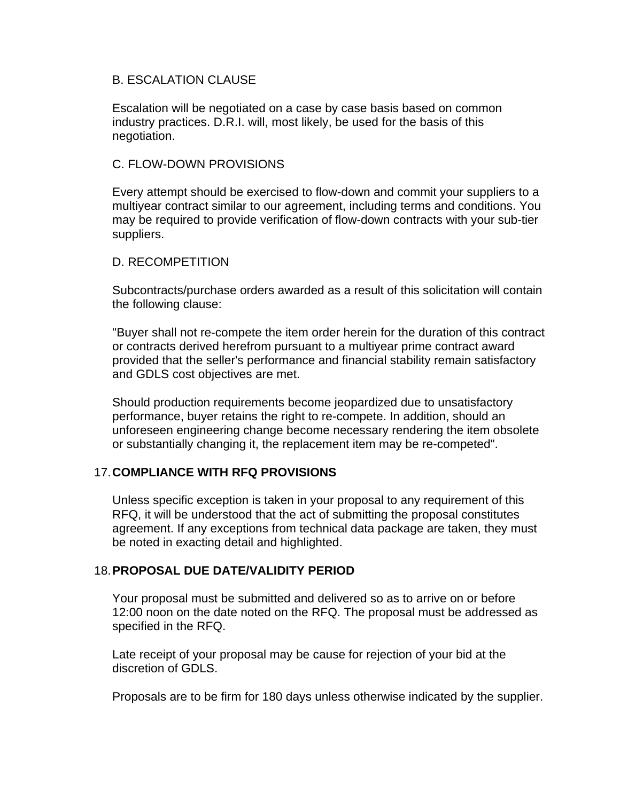#### B. ESCALATION CLAUSE

Escalation will be negotiated on a case by case basis based on common industry practices. D.R.I. will, most likely, be used for the basis of this negotiation.

### C. FLOW-DOWN PROVISIONS

Every attempt should be exercised to flow-down and commit your suppliers to a multiyear contract similar to our agreement, including terms and conditions. You may be required to provide verification of flow-down contracts with your sub-tier suppliers.

### D. RECOMPETITION

Subcontracts/purchase orders awarded as a result of this solicitation will contain the following clause:

"Buyer shall not re-compete the item order herein for the duration of this contract or contracts derived herefrom pursuant to a multiyear prime contract award provided that the seller's performance and financial stability remain satisfactory and GDLS cost objectives are met.

Should production requirements become jeopardized due to unsatisfactory performance, buyer retains the right to re-compete. In addition, should an unforeseen engineering change become necessary rendering the item obsolete or substantially changing it, the replacement item may be re-competed".

# 17. **COMPLIANCE WITH RFQ PROVISIONS**

Unless specific exception is taken in your proposal to any requirement of this RFQ, it will be understood that the act of submitting the proposal constitutes agreement. If any exceptions from technical data package are taken, they must be noted in exacting detail and highlighted.

# 18. **PROPOSAL DUE DATE/VALIDITY PERIOD**

Your proposal must be submitted and delivered so as to arrive on or before 12:00 noon on the date noted on the RFQ. The proposal must be addressed as specified in the RFQ.

Late receipt of your proposal may be cause for rejection of your bid at the discretion of GDLS.

Proposals are to be firm for 180 days unless otherwise indicated by the supplier.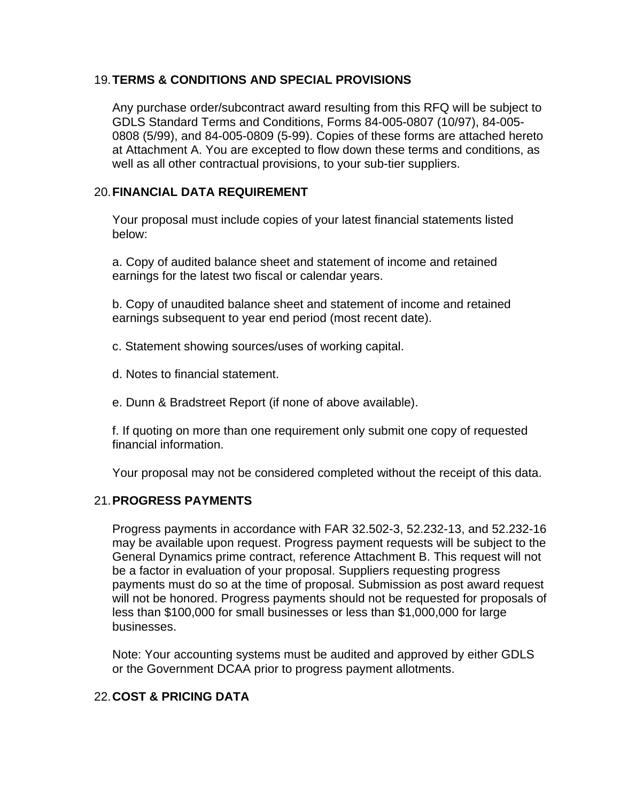# 19. **TERMS & CONDITIONS AND SPECIAL PROVISIONS**

Any purchase order/subcontract award resulting from this RFQ will be subject to GDLS Standard Terms and Conditions, Forms 84-005-0807 (10/97), 84-005- 0808 (5/99), and 84-005-0809 (5-99). Copies of these forms are attached hereto at Attachment A. You are excepted to flow down these terms and conditions, as well as all other contractual provisions, to your sub-tier suppliers.

# 20. **FINANCIAL DATA REQUIREMENT**

Your proposal must include copies of your latest financial statements listed below:

a. Copy of audited balance sheet and statement of income and retained earnings for the latest two fiscal or calendar years.

b. Copy of unaudited balance sheet and statement of income and retained earnings subsequent to year end period (most recent date).

c. Statement showing sources/uses of working capital.

d. Notes to financial statement.

e. Dunn & Bradstreet Report (if none of above available).

f. If quoting on more than one requirement only submit one copy of requested financial information.

Your proposal may not be considered completed without the receipt of this data.

# 21. **PROGRESS PAYMENTS**

Progress payments in accordance with FAR 32.502-3, 52.232-13, and 52.232-16 may be available upon request. Progress payment requests will be subject to the General Dynamics prime contract, reference Attachment B. This request will not be a factor in evaluation of your proposal. Suppliers requesting progress payments must do so at the time of proposal. Submission as post award request will not be honored. Progress payments should not be requested for proposals of less than \$100,000 for small businesses or less than \$1,000,000 for large businesses.

Note: Your accounting systems must be audited and approved by either GDLS or the Government DCAA prior to progress payment allotments.

# 22. **COST & PRICING DATA**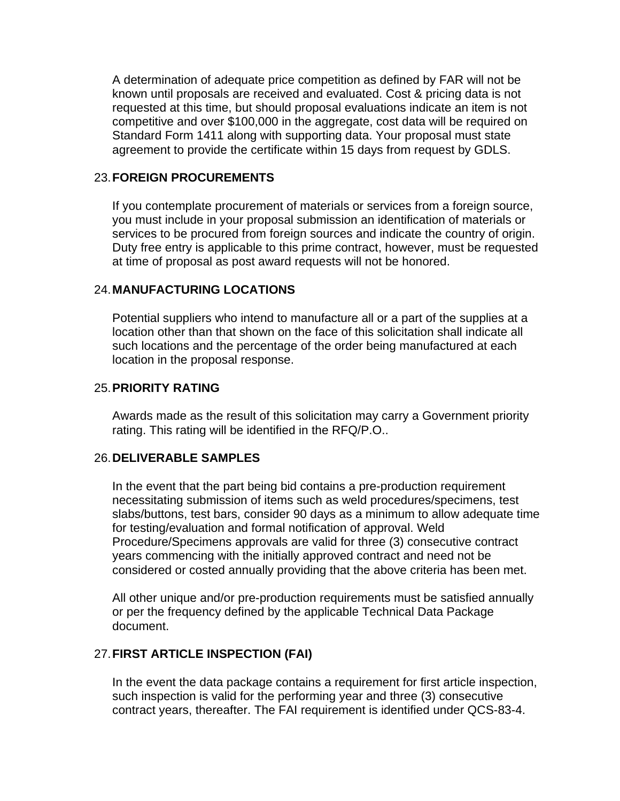A determination of adequate price competition as defined by FAR will not be known until proposals are received and evaluated. Cost & pricing data is not requested at this time, but should proposal evaluations indicate an item is not competitive and over \$100,000 in the aggregate, cost data will be required on Standard Form 1411 along with supporting data. Your proposal must state agreement to provide the certificate within 15 days from request by GDLS.

#### 23. **FOREIGN PROCUREMENTS**

If you contemplate procurement of materials or services from a foreign source, you must include in your proposal submission an identification of materials or services to be procured from foreign sources and indicate the country of origin. Duty free entry is applicable to this prime contract, however, must be requested at time of proposal as post award requests will not be honored.

### 24. **MANUFACTURING LOCATIONS**

Potential suppliers who intend to manufacture all or a part of the supplies at a location other than that shown on the face of this solicitation shall indicate all such locations and the percentage of the order being manufactured at each location in the proposal response.

#### 25. **PRIORITY RATING**

Awards made as the result of this solicitation may carry a Government priority rating. This rating will be identified in the RFQ/P.O..

#### 26. **DELIVERABLE SAMPLES**

In the event that the part being bid contains a pre-production requirement necessitating submission of items such as weld procedures/specimens, test slabs/buttons, test bars, consider 90 days as a minimum to allow adequate time for testing/evaluation and formal notification of approval. Weld Procedure/Specimens approvals are valid for three (3) consecutive contract years commencing with the initially approved contract and need not be considered or costed annually providing that the above criteria has been met.

All other unique and/or pre-production requirements must be satisfied annually or per the frequency defined by the applicable Technical Data Package document.

# 27. **FIRST ARTICLE INSPECTION (FAI)**

In the event the data package contains a requirement for first article inspection, such inspection is valid for the performing year and three (3) consecutive contract years, thereafter. The FAI requirement is identified under QCS-83-4.